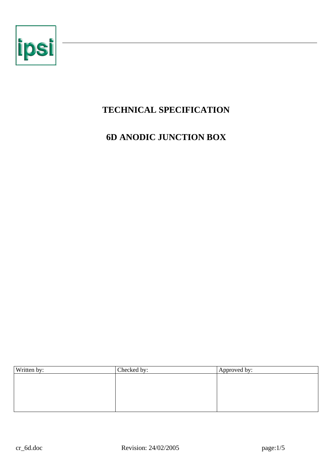

## **TECHNICAL SPECIFICATION**

## **6D ANODIC JUNCTION BOX**

| Written by: | Checked by: | Approved by: |  |
|-------------|-------------|--------------|--|
|             |             |              |  |
|             |             |              |  |
|             |             |              |  |
|             |             |              |  |
|             |             |              |  |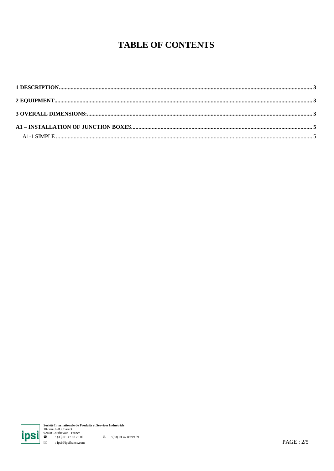# **TABLE OF CONTENTS**

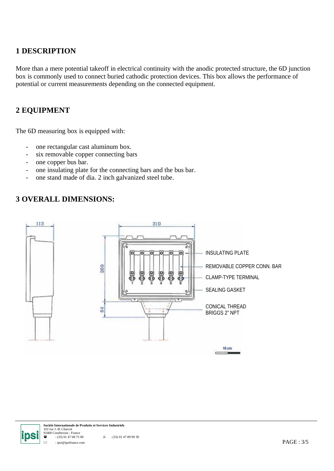### <span id="page-2-0"></span>**1 DESCRIPTION**

More than a mere potential takeoff in electrical continuity with the anodic protected structure, the 6D junction box is commonly used to connect buried cathodic protection devices. This box allows the performance of potential or current measurements depending on the connected equipment.

#### **2 EQUIPMENT**

The 6D measuring box is equipped with:

- one rectangular cast aluminum box.
- six removable copper connecting bars
- one copper bus bar.
- one insulating plate for the connecting bars and the bus bar.
- one stand made of dia. 2 inch galvanized steel tube.

#### **3 OVERALL DIMENSIONS:**



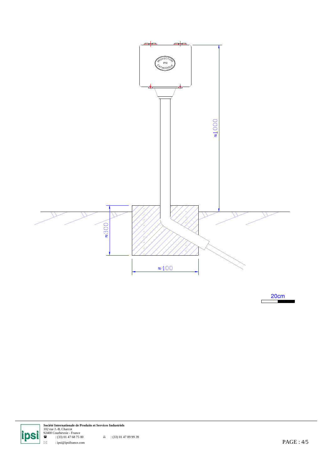

 $20cm$ Ť.

 $\Box$ 



 $\boxtimes$ 

**Société Internationale de Produits et Services Industriels**<br>
102 rue J.-B. Charcot<br>
92400 Courbevoie - France<br>  $(33)$  01 47 68 75 00 <br>  $\overline{a}$  : (33) 01 47 68 75 00  $\frac{1}{60}$  : (33) 01 47 89 99 39

: ipsi@ipsifrance.com